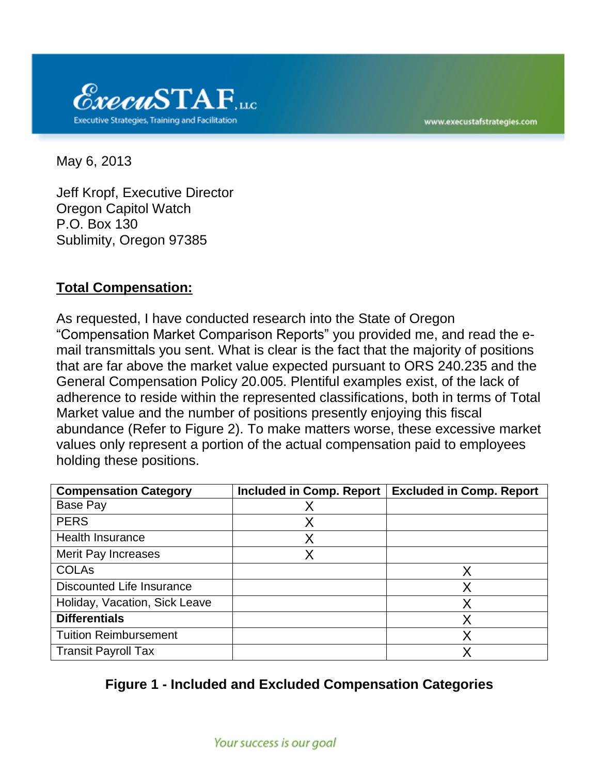

www.execustafstrategies.com

May 6, 2013

Jeff Kropf, Executive Director Oregon Capitol Watch P.O. Box 130 Sublimity, Oregon 97385

### **Total Compensation:**

As requested, I have conducted research into the State of Oregon "Compensation Market Comparison Reports" you provided me, and read the email transmittals you sent. What is clear is the fact that the majority of positions that are far above the market value expected pursuant to ORS 240.235 and the General Compensation Policy 20.005. Plentiful examples exist, of the lack of adherence to reside within the represented classifications, both in terms of Total Market value and the number of positions presently enjoying this fiscal abundance (Refer to Figure 2). To make matters worse, these excessive market values only represent a portion of the actual compensation paid to employees holding these positions.

| <b>Compensation Category</b>     | <b>Included in Comp. Report</b> | <b>Excluded in Comp. Report</b> |
|----------------------------------|---------------------------------|---------------------------------|
| Base Pay                         | Χ                               |                                 |
| <b>PERS</b>                      |                                 |                                 |
| <b>Health Insurance</b>          |                                 |                                 |
| Merit Pay Increases              |                                 |                                 |
| <b>COLAs</b>                     |                                 | X                               |
| <b>Discounted Life Insurance</b> |                                 | Χ                               |
| Holiday, Vacation, Sick Leave    |                                 | Х                               |
| <b>Differentials</b>             |                                 | X                               |
| <b>Tuition Reimbursement</b>     |                                 |                                 |
| <b>Transit Payroll Tax</b>       |                                 | Χ                               |

### **Figure 1 - Included and Excluded Compensation Categories**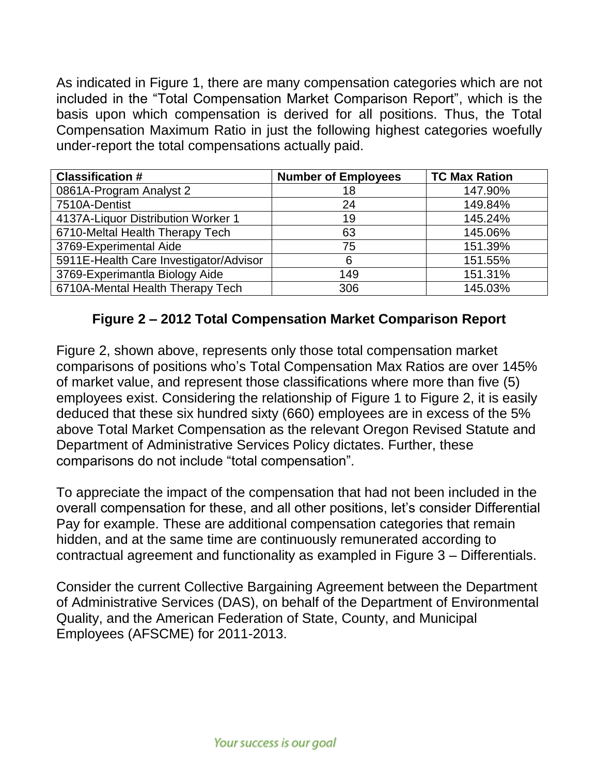As indicated in Figure 1, there are many compensation categories which are not included in the "Total Compensation Market Comparison Report", which is the basis upon which compensation is derived for all positions. Thus, the Total Compensation Maximum Ratio in just the following highest categories woefully under-report the total compensations actually paid.

| <b>Classification #</b>                | <b>Number of Employees</b> | <b>TC Max Ration</b> |
|----------------------------------------|----------------------------|----------------------|
| 0861A-Program Analyst 2                | 18                         | 147.90%              |
| 7510A-Dentist                          | 24                         | 149.84%              |
| 4137A-Liquor Distribution Worker 1     | 19                         | 145.24%              |
| 6710-Meltal Health Therapy Tech        | 63                         | 145.06%              |
| 3769-Experimental Aide                 | 75                         | 151.39%              |
| 5911E-Health Care Investigator/Advisor | 6                          | 151.55%              |
| 3769-Experimantla Biology Aide         | 149                        | 151.31%              |
| 6710A-Mental Health Therapy Tech       | 306                        | 145.03%              |

# **Figure 2 – 2012 Total Compensation Market Comparison Report**

Figure 2, shown above, represents only those total compensation market comparisons of positions who's Total Compensation Max Ratios are over 145% of market value, and represent those classifications where more than five (5) employees exist. Considering the relationship of Figure 1 to Figure 2, it is easily deduced that these six hundred sixty (660) employees are in excess of the 5% above Total Market Compensation as the relevant Oregon Revised Statute and Department of Administrative Services Policy dictates. Further, these comparisons do not include "total compensation".

To appreciate the impact of the compensation that had not been included in the overall compensation for these, and all other positions, let's consider Differential Pay for example. These are additional compensation categories that remain hidden, and at the same time are continuously remunerated according to contractual agreement and functionality as exampled in Figure 3 – Differentials.

Consider the current Collective Bargaining Agreement between the Department of Administrative Services (DAS), on behalf of the Department of Environmental Quality, and the American Federation of State, County, and Municipal Employees (AFSCME) for 2011-2013.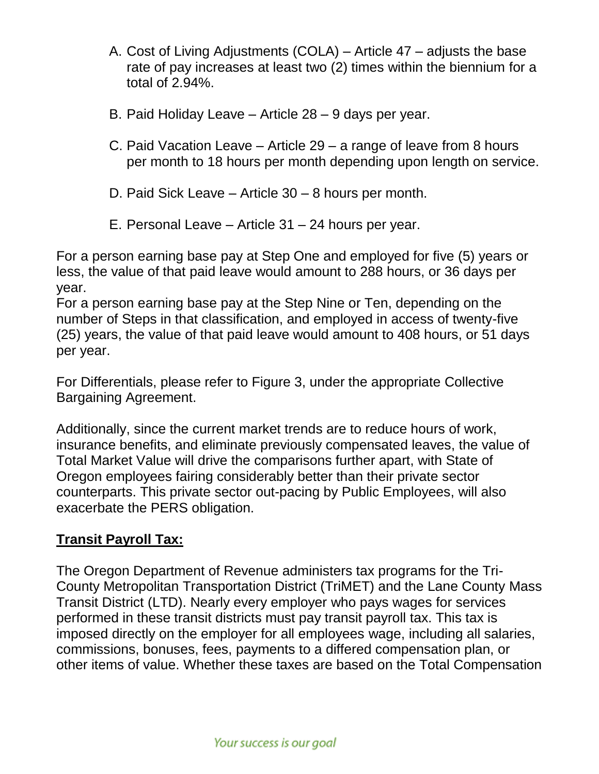- A. Cost of Living Adjustments (COLA) Article 47 adjusts the base rate of pay increases at least two (2) times within the biennium for a total of 2.94%.
- B. Paid Holiday Leave Article 28 9 days per year.
- C. Paid Vacation Leave Article 29 a range of leave from 8 hours per month to 18 hours per month depending upon length on service.
- D. Paid Sick Leave Article 30 8 hours per month.
- E. Personal Leave Article 31 24 hours per year.

For a person earning base pay at Step One and employed for five (5) years or less, the value of that paid leave would amount to 288 hours, or 36 days per year.

For a person earning base pay at the Step Nine or Ten, depending on the number of Steps in that classification, and employed in access of twenty-five (25) years, the value of that paid leave would amount to 408 hours, or 51 days per year.

For Differentials, please refer to Figure 3, under the appropriate Collective Bargaining Agreement.

Additionally, since the current market trends are to reduce hours of work, insurance benefits, and eliminate previously compensated leaves, the value of Total Market Value will drive the comparisons further apart, with State of Oregon employees fairing considerably better than their private sector counterparts. This private sector out-pacing by Public Employees, will also exacerbate the PERS obligation.

## **Transit Payroll Tax:**

The Oregon Department of Revenue administers tax programs for the Tri-County Metropolitan Transportation District (TriMET) and the Lane County Mass Transit District (LTD). Nearly every employer who pays wages for services performed in these transit districts must pay transit payroll tax. This tax is imposed directly on the employer for all employees wage, including all salaries, commissions, bonuses, fees, payments to a differed compensation plan, or other items of value. Whether these taxes are based on the Total Compensation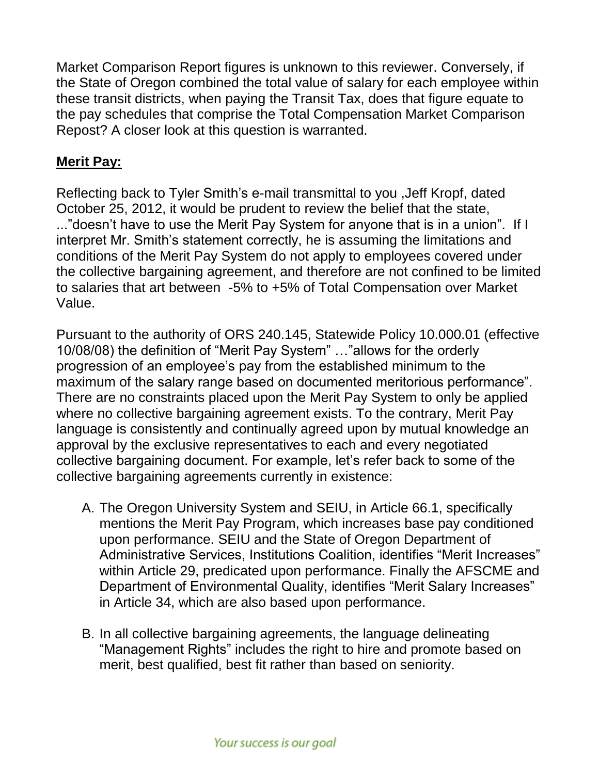Market Comparison Report figures is unknown to this reviewer. Conversely, if the State of Oregon combined the total value of salary for each employee within these transit districts, when paying the Transit Tax, does that figure equate to the pay schedules that comprise the Total Compensation Market Comparison Repost? A closer look at this question is warranted.

## **Merit Pay:**

Reflecting back to Tyler Smith's e-mail transmittal to you ,Jeff Kropf, dated October 25, 2012, it would be prudent to review the belief that the state, ..."doesn't have to use the Merit Pay System for anyone that is in a union". If I interpret Mr. Smith's statement correctly, he is assuming the limitations and conditions of the Merit Pay System do not apply to employees covered under the collective bargaining agreement, and therefore are not confined to be limited to salaries that art between -5% to +5% of Total Compensation over Market Value.

Pursuant to the authority of ORS 240.145, Statewide Policy 10.000.01 (effective 10/08/08) the definition of "Merit Pay System" …"allows for the orderly progression of an employee's pay from the established minimum to the maximum of the salary range based on documented meritorious performance". There are no constraints placed upon the Merit Pay System to only be applied where no collective bargaining agreement exists. To the contrary, Merit Pay language is consistently and continually agreed upon by mutual knowledge an approval by the exclusive representatives to each and every negotiated collective bargaining document. For example, let's refer back to some of the collective bargaining agreements currently in existence:

- A. The Oregon University System and SEIU, in Article 66.1, specifically mentions the Merit Pay Program, which increases base pay conditioned upon performance. SEIU and the State of Oregon Department of Administrative Services, Institutions Coalition, identifies "Merit Increases" within Article 29, predicated upon performance. Finally the AFSCME and Department of Environmental Quality, identifies "Merit Salary Increases" in Article 34, which are also based upon performance.
- B. In all collective bargaining agreements, the language delineating "Management Rights" includes the right to hire and promote based on merit, best qualified, best fit rather than based on seniority.